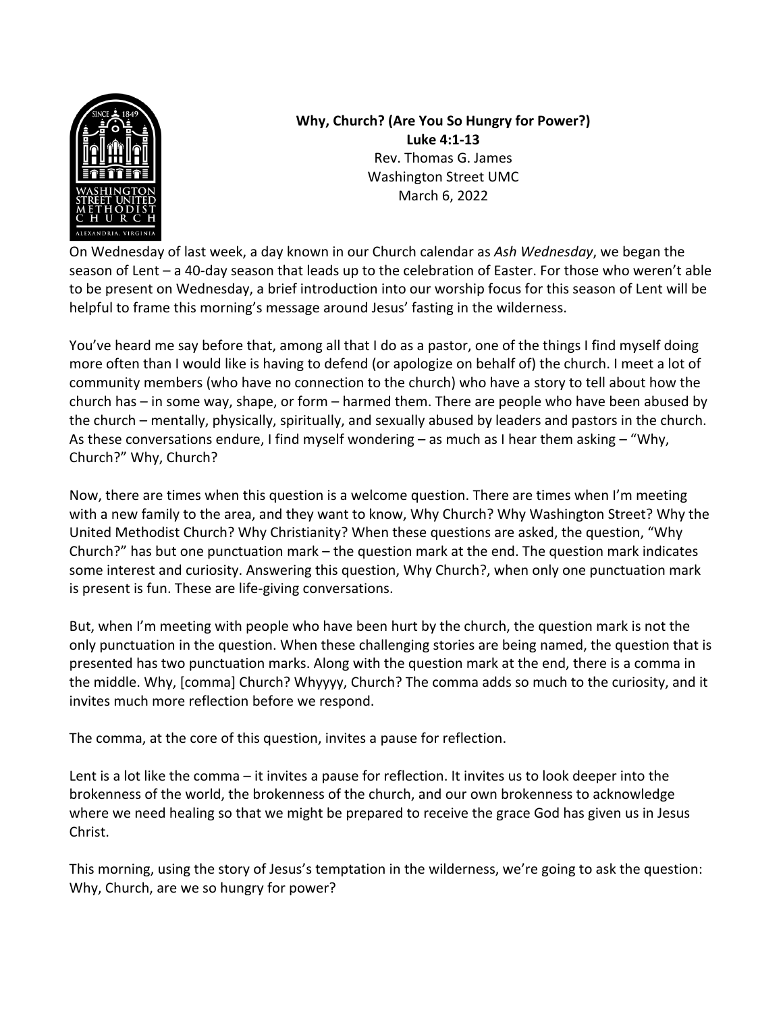

**Why, Church? (Are You So Hungry for Power?) Luke 4:1-13** Rev. Thomas G. James Washington Street UMC March 6, 2022

On Wednesday of last week, a day known in our Church calendar as *Ash Wednesday*, we began the season of Lent – a 40-day season that leads up to the celebration of Easter. For those who weren't able to be present on Wednesday, a brief introduction into our worship focus for this season of Lent will be helpful to frame this morning's message around Jesus' fasting in the wilderness.

You've heard me say before that, among all that I do as a pastor, one of the things I find myself doing more often than I would like is having to defend (or apologize on behalf of) the church. I meet a lot of community members (who have no connection to the church) who have a story to tell about how the church has – in some way, shape, or form – harmed them. There are people who have been abused by the church – mentally, physically, spiritually, and sexually abused by leaders and pastors in the church. As these conversations endure, I find myself wondering – as much as I hear them asking – "Why, Church?" Why, Church?

Now, there are times when this question is a welcome question. There are times when I'm meeting with a new family to the area, and they want to know, Why Church? Why Washington Street? Why the United Methodist Church? Why Christianity? When these questions are asked, the question, "Why Church?" has but one punctuation mark – the question mark at the end. The question mark indicates some interest and curiosity. Answering this question, Why Church?, when only one punctuation mark is present is fun. These are life-giving conversations.

But, when I'm meeting with people who have been hurt by the church, the question mark is not the only punctuation in the question. When these challenging stories are being named, the question that is presented has two punctuation marks. Along with the question mark at the end, there is a comma in the middle. Why, [comma] Church? Whyyyy, Church? The comma adds so much to the curiosity, and it invites much more reflection before we respond.

The comma, at the core of this question, invites a pause for reflection.

Lent is a lot like the comma – it invites a pause for reflection. It invites us to look deeper into the brokenness of the world, the brokenness of the church, and our own brokenness to acknowledge where we need healing so that we might be prepared to receive the grace God has given us in Jesus Christ.

This morning, using the story of Jesus's temptation in the wilderness, we're going to ask the question: Why, Church, are we so hungry for power?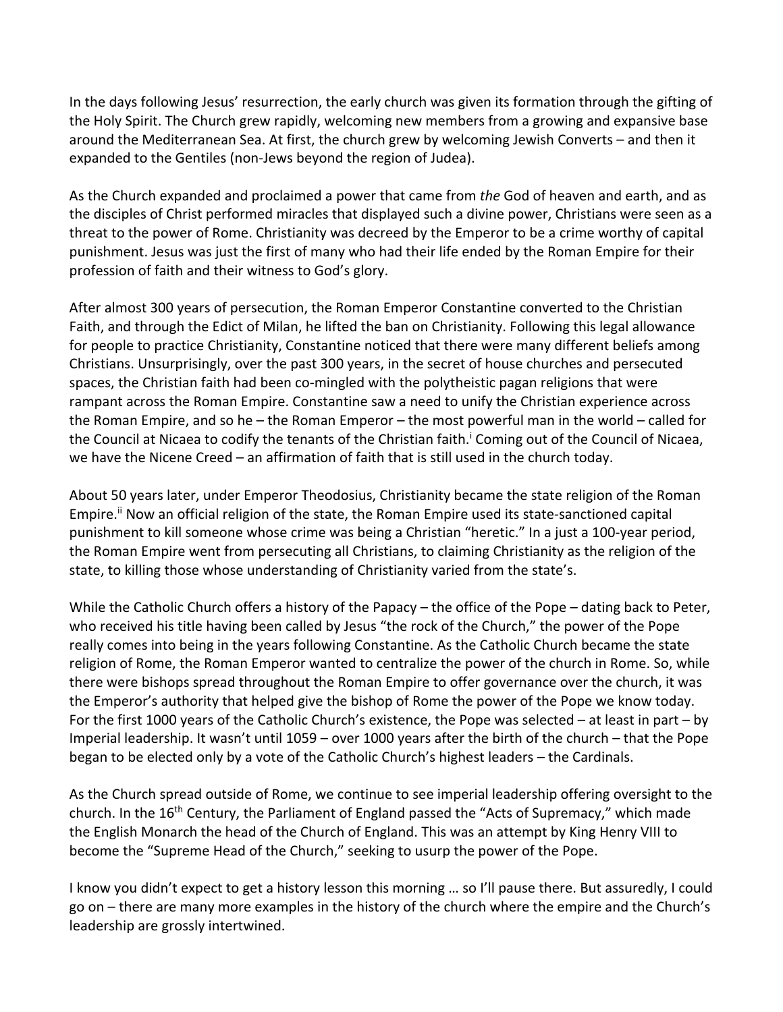In the days following Jesus' resurrection, the early church was given its formation through the gifting of the Holy Spirit. The Church grew rapidly, welcoming new members from a growing and expansive base around the Mediterranean Sea. At first, the church grew by welcoming Jewish Converts – and then it expanded to the Gentiles (non-Jews beyond the region of Judea).

As the Church expanded and proclaimed a power that came from *the* God of heaven and earth, and as the disciples of Christ performed miracles that displayed such a divine power, Christians were seen as a threat to the power of Rome. Christianity was decreed by the Emperor to be a crime worthy of capital punishment. Jesus was just the first of many who had their life ended by the Roman Empire for their profession of faith and their witness to God's glory.

After almost 300 years of persecution, the Roman Emperor Constantine converted to the Christian Faith, and through the Edict of Milan, he lifted the ban on Christianity. Following this legal allowance for people to practice Christianity, Constantine noticed that there were many different beliefs among Christians. Unsurprisingly, over the past 300 years, in the secret of house churches and persecuted spaces, the Christian faith had been co-mingled with the polytheistic pagan religions that were rampant across the Roman Empire. Constantine saw a need to unify the Christian experience across the Roman Empire, and so he – the Roman Emperor – the most powerful man in the world – called for the Council at Nicaea to codify the tenants of the Christian faith.<sup>*i*</sup> Coming out of the Council of Nicaea, we have the Nicene Creed – an affirmation of faith that is still used in the church today.

About 50 years later, under Emperor Theodosius, Christianity became the state religion of the Roman Empire.<sup>ii</sup> Now an official religion of the state, the Roman Empire used its state-sanctioned capital punishment to kill someone whose crime was being a Christian "heretic." In a just a 100-year period, the Roman Empire went from persecuting all Christians, to claiming Christianity as the religion of the state, to killing those whose understanding of Christianity varied from the state's.

While the Catholic Church offers a history of the Papacy – the office of the Pope – dating back to Peter, who received his title having been called by Jesus "the rock of the Church," the power of the Pope really comes into being in the years following Constantine. As the Catholic Church became the state religion of Rome, the Roman Emperor wanted to centralize the power of the church in Rome. So, while there were bishops spread throughout the Roman Empire to offer governance over the church, it was the Emperor's authority that helped give the bishop of Rome the power of the Pope we know today. For the first 1000 years of the Catholic Church's existence, the Pope was selected – at least in part – by Imperial leadership. It wasn't until 1059 – over 1000 years after the birth of the church – that the Pope began to be elected only by a vote of the Catholic Church's highest leaders – the Cardinals.

As the Church spread outside of Rome, we continue to see imperial leadership offering oversight to the church. In the 16<sup>th</sup> Century, the Parliament of England passed the "Acts of Supremacy," which made the English Monarch the head of the Church of England. This was an attempt by King Henry VIII to become the "Supreme Head of the Church," seeking to usurp the power of the Pope.

I know you didn't expect to get a history lesson this morning … so I'll pause there. But assuredly, I could go on – there are many more examples in the history of the church where the empire and the Church's leadership are grossly intertwined.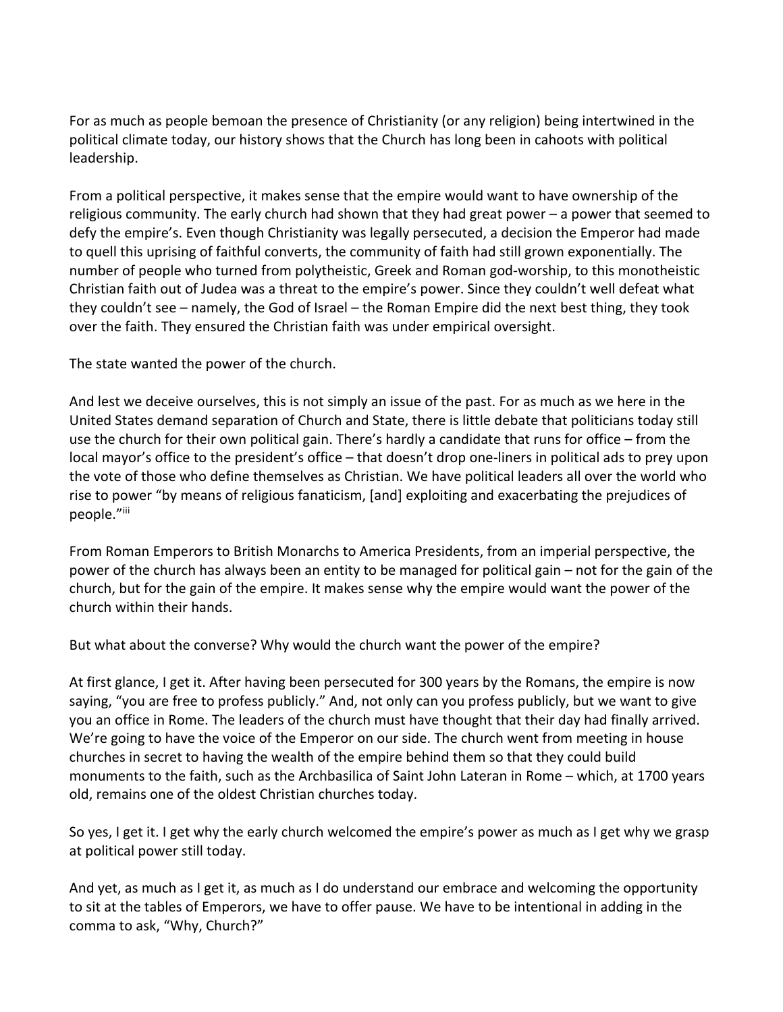For as much as people bemoan the presence of Christianity (or any religion) being intertwined in the political climate today, our history shows that the Church has long been in cahoots with political leadership.

From a political perspective, it makes sense that the empire would want to have ownership of the religious community. The early church had shown that they had great power – a power that seemed to defy the empire's. Even though Christianity was legally persecuted, a decision the Emperor had made to quell this uprising of faithful converts, the community of faith had still grown exponentially. The number of people who turned from polytheistic, Greek and Roman god-worship, to this monotheistic Christian faith out of Judea was a threat to the empire's power. Since they couldn't well defeat what they couldn't see – namely, the God of Israel – the Roman Empire did the next best thing, they took over the faith. They ensured the Christian faith was under empirical oversight.

The state wanted the power of the church.

And lest we deceive ourselves, this is not simply an issue of the past. For as much as we here in the United States demand separation of Church and State, there is little debate that politicians today still use the church for their own political gain. There's hardly a candidate that runs for office – from the local mayor's office to the president's office – that doesn't drop one-liners in political ads to prey upon the vote of those who define themselves as Christian. We have political leaders all over the world who rise to power "by means of religious fanaticism, [and] exploiting and exacerbating the prejudices of people."iii

From Roman Emperors to British Monarchs to America Presidents, from an imperial perspective, the power of the church has always been an entity to be managed for political gain – not for the gain of the church, but for the gain of the empire. It makes sense why the empire would want the power of the church within their hands.

But what about the converse? Why would the church want the power of the empire?

At first glance, I get it. After having been persecuted for 300 years by the Romans, the empire is now saying, "you are free to profess publicly." And, not only can you profess publicly, but we want to give you an office in Rome. The leaders of the church must have thought that their day had finally arrived. We're going to have the voice of the Emperor on our side. The church went from meeting in house churches in secret to having the wealth of the empire behind them so that they could build monuments to the faith, such as the Archbasilica of Saint John Lateran in Rome – which, at 1700 years old, remains one of the oldest Christian churches today.

So yes, I get it. I get why the early church welcomed the empire's power as much as I get why we grasp at political power still today.

And yet, as much as I get it, as much as I do understand our embrace and welcoming the opportunity to sit at the tables of Emperors, we have to offer pause. We have to be intentional in adding in the comma to ask, "Why, Church?"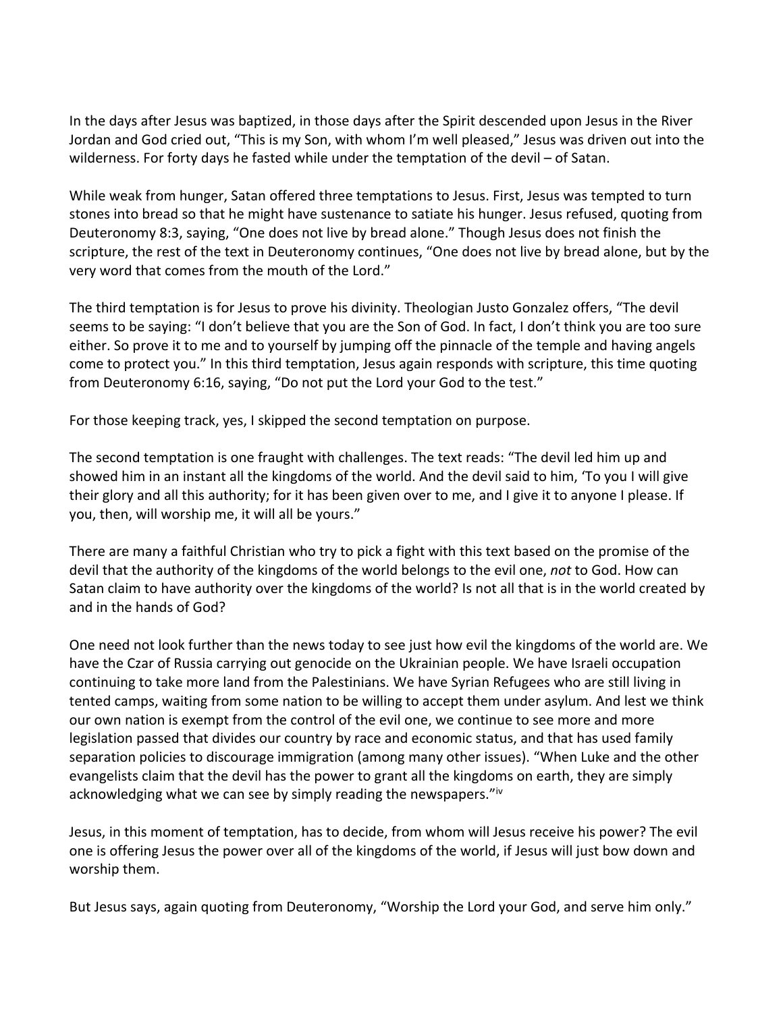In the days after Jesus was baptized, in those days after the Spirit descended upon Jesus in the River Jordan and God cried out, "This is my Son, with whom I'm well pleased," Jesus was driven out into the wilderness. For forty days he fasted while under the temptation of the devil – of Satan.

While weak from hunger, Satan offered three temptations to Jesus. First, Jesus was tempted to turn stones into bread so that he might have sustenance to satiate his hunger. Jesus refused, quoting from Deuteronomy 8:3, saying, "One does not live by bread alone." Though Jesus does not finish the scripture, the rest of the text in Deuteronomy continues, "One does not live by bread alone, but by the very word that comes from the mouth of the Lord."

The third temptation is for Jesus to prove his divinity. Theologian Justo Gonzalez offers, "The devil seems to be saying: "I don't believe that you are the Son of God. In fact, I don't think you are too sure either. So prove it to me and to yourself by jumping off the pinnacle of the temple and having angels come to protect you." In this third temptation, Jesus again responds with scripture, this time quoting from Deuteronomy 6:16, saying, "Do not put the Lord your God to the test."

For those keeping track, yes, I skipped the second temptation on purpose.

The second temptation is one fraught with challenges. The text reads: "The devil led him up and showed him in an instant all the kingdoms of the world. And the devil said to him, 'To you I will give their glory and all this authority; for it has been given over to me, and I give it to anyone I please. If you, then, will worship me, it will all be yours."

There are many a faithful Christian who try to pick a fight with this text based on the promise of the devil that the authority of the kingdoms of the world belongs to the evil one, *not* to God. How can Satan claim to have authority over the kingdoms of the world? Is not all that is in the world created by and in the hands of God?

One need not look further than the news today to see just how evil the kingdoms of the world are. We have the Czar of Russia carrying out genocide on the Ukrainian people. We have Israeli occupation continuing to take more land from the Palestinians. We have Syrian Refugees who are still living in tented camps, waiting from some nation to be willing to accept them under asylum. And lest we think our own nation is exempt from the control of the evil one, we continue to see more and more legislation passed that divides our country by race and economic status, and that has used family separation policies to discourage immigration (among many other issues). "When Luke and the other evangelists claim that the devil has the power to grant all the kingdoms on earth, they are simply acknowledging what we can see by simply reading the newspapers."iv

Jesus, in this moment of temptation, has to decide, from whom will Jesus receive his power? The evil one is offering Jesus the power over all of the kingdoms of the world, if Jesus will just bow down and worship them.

But Jesus says, again quoting from Deuteronomy, "Worship the Lord your God, and serve him only."